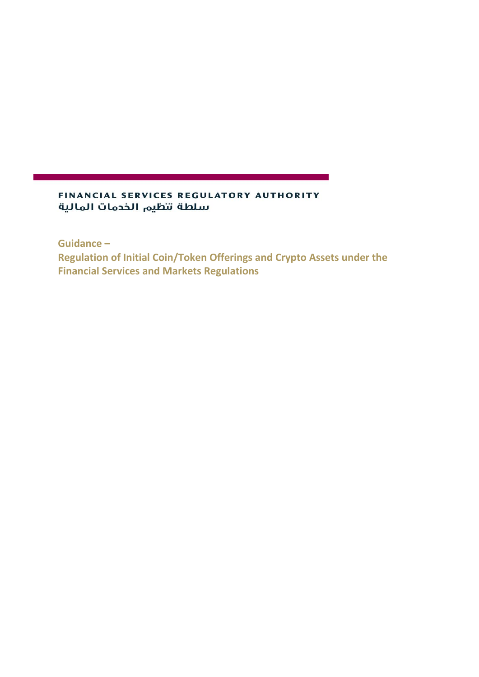### FINANCIAL SERVICES REGULATORY AUTHORITY سلطة تنظيم الخدمات المالية

**Guidance –**

**Regulation of Initial Coin/Token Offerings and Crypto Assets under the Financial Services and Markets Regulations**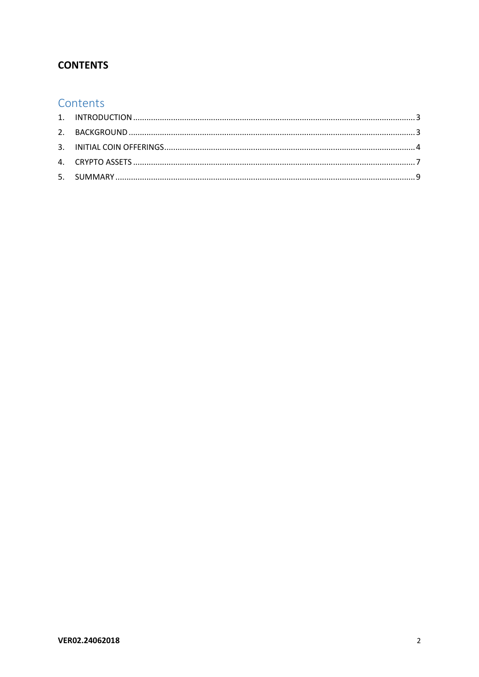## **CONTENTS**

# Contents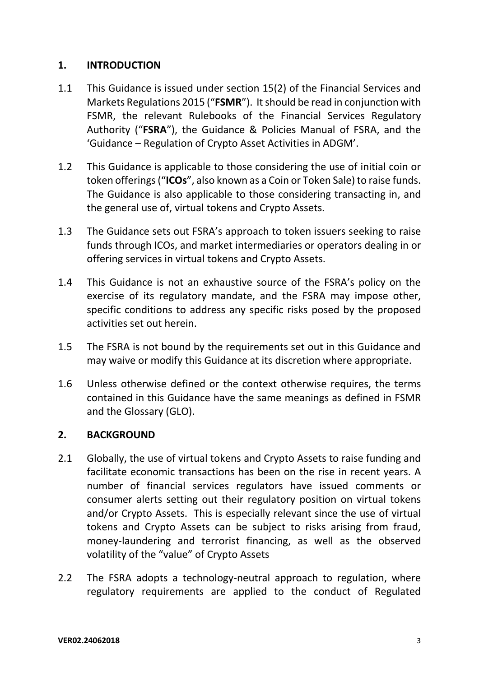## <span id="page-2-0"></span>**1. INTRODUCTION**

- 1.1 This Guidance is issued under section 15(2) of the Financial Services and Markets Regulations 2015 ("**FSMR**"). It should be read in conjunction with FSMR, the relevant Rulebooks of the Financial Services Regulatory Authority ("**FSRA**"), the Guidance & Policies Manual of FSRA, and the 'Guidance – Regulation of Crypto Asset Activities in ADGM'.
- 1.2 This Guidance is applicable to those considering the use of initial coin or token offerings ("**ICOs**", also known as a Coin or Token Sale) to raise funds. The Guidance is also applicable to those considering transacting in, and the general use of, virtual tokens and Crypto Assets.
- 1.3 The Guidance sets out FSRA's approach to token issuers seeking to raise funds through ICOs, and market intermediaries or operators dealing in or offering services in virtual tokens and Crypto Assets.
- 1.4 This Guidance is not an exhaustive source of the FSRA's policy on the exercise of its regulatory mandate, and the FSRA may impose other, specific conditions to address any specific risks posed by the proposed activities set out herein.
- 1.5 The FSRA is not bound by the requirements set out in this Guidance and may waive or modify this Guidance at its discretion where appropriate.
- 1.6 Unless otherwise defined or the context otherwise requires, the terms contained in this Guidance have the same meanings as defined in FSMR and the Glossary (GLO).

#### <span id="page-2-1"></span>**2. BACKGROUND**

- 2.1 Globally, the use of virtual tokens and Crypto Assets to raise funding and facilitate economic transactions has been on the rise in recent years. A number of financial services regulators have issued comments or consumer alerts setting out their regulatory position on virtual tokens and/or Crypto Assets. This is especially relevant since the use of virtual tokens and Crypto Assets can be subject to risks arising from fraud, money-laundering and terrorist financing, as well as the observed volatility of the "value" of Crypto Assets
- 2.2 The FSRA adopts a technology-neutral approach to regulation, where regulatory requirements are applied to the conduct of Regulated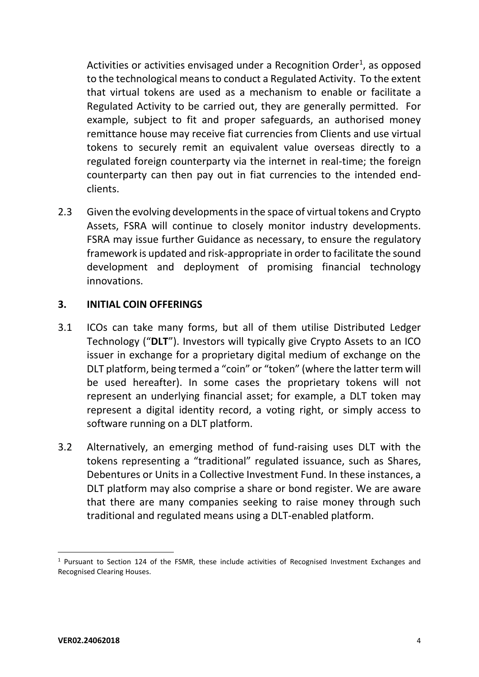Activities or activities envisaged under a Recognition Order<sup>1</sup>, as opposed to the technological meansto conduct a Regulated Activity. To the extent that virtual tokens are used as a mechanism to enable or facilitate a Regulated Activity to be carried out, they are generally permitted. For example, subject to fit and proper safeguards, an authorised money remittance house may receive fiat currencies from Clients and use virtual tokens to securely remit an equivalent value overseas directly to a regulated foreign counterparty via the internet in real-time; the foreign counterparty can then pay out in fiat currencies to the intended endclients.

2.3 Given the evolving developments in the space of virtual tokens and Crypto Assets, FSRA will continue to closely monitor industry developments. FSRA may issue further Guidance as necessary, to ensure the regulatory framework is updated and risk-appropriate in order to facilitate the sound development and deployment of promising financial technology innovations.

## <span id="page-3-0"></span>**3. INITIAL COIN OFFERINGS**

- 3.1 ICOs can take many forms, but all of them utilise Distributed Ledger Technology ("**DLT**"). Investors will typically give Crypto Assets to an ICO issuer in exchange for a proprietary digital medium of exchange on the DLT platform, being termed a "coin" or "token" (where the latter term will be used hereafter). In some cases the proprietary tokens will not represent an underlying financial asset; for example, a DLT token may represent a digital identity record, a voting right, or simply access to software running on a DLT platform.
- 3.2 Alternatively, an emerging method of fund-raising uses DLT with the tokens representing a "traditional" regulated issuance, such as Shares, Debentures or Units in a Collective Investment Fund. In these instances, a DLT platform may also comprise a share or bond register. We are aware that there are many companies seeking to raise money through such traditional and regulated means using a DLT-enabled platform.

-

 $1$  Pursuant to Section 124 of the FSMR, these include activities of Recognised Investment Exchanges and Recognised Clearing Houses.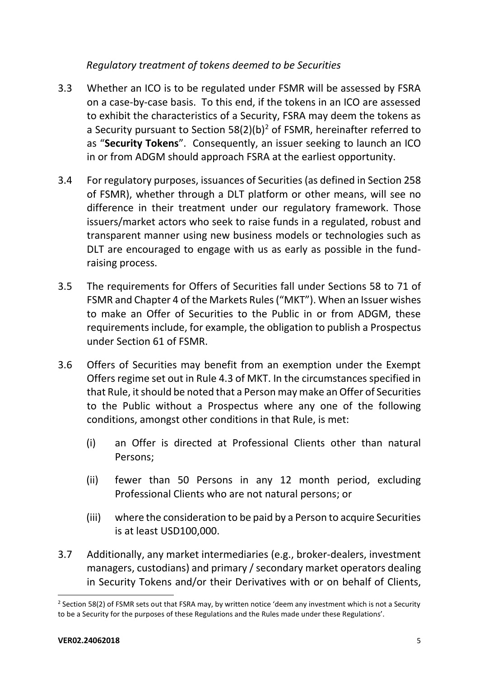## *Regulatory treatment of tokens deemed to be Securities*

- 3.3 Whether an ICO is to be regulated under FSMR will be assessed by FSRA on a case-by-case basis. To this end, if the tokens in an ICO are assessed to exhibit the characteristics of a Security, FSRA may deem the tokens as a Security pursuant to Section  $58(2)(b)^2$  of FSMR, hereinafter referred to as "**Security Tokens**". Consequently, an issuer seeking to launch an ICO in or from ADGM should approach FSRA at the earliest opportunity.
- 3.4 For regulatory purposes, issuances of Securities (as defined in Section 258 of FSMR), whether through a DLT platform or other means, will see no difference in their treatment under our regulatory framework. Those issuers/market actors who seek to raise funds in a regulated, robust and transparent manner using new business models or technologies such as DLT are encouraged to engage with us as early as possible in the fundraising process.
- 3.5 The requirements for Offers of Securities fall under Sections 58 to 71 of FSMR and Chapter 4 of the Markets Rules ("MKT"). When an Issuer wishes to make an Offer of Securities to the Public in or from ADGM, these requirements include, for example, the obligation to publish a Prospectus under Section 61 of FSMR.
- 3.6 Offers of Securities may benefit from an exemption under the Exempt Offers regime set out in Rule 4.3 of MKT. In the circumstances specified in that Rule, it should be noted that a Person may make an Offer of Securities to the Public without a Prospectus where any one of the following conditions, amongst other conditions in that Rule, is met:
	- (i) an Offer is directed at Professional Clients other than natural Persons;
	- (ii) fewer than 50 Persons in any 12 month period, excluding Professional Clients who are not natural persons; or
	- (iii) where the consideration to be paid by a Person to acquire Securities is at least USD100,000.
- 3.7 Additionally, any market intermediaries (e.g., broker-dealers, investment managers, custodians) and primary / secondary market operators dealing in Security Tokens and/or their Derivatives with or on behalf of Clients,

1

<sup>&</sup>lt;sup>2</sup> Section 58(2) of FSMR sets out that FSRA may, by written notice 'deem any investment which is not a Security to be a Security for the purposes of these Regulations and the Rules made under these Regulations'.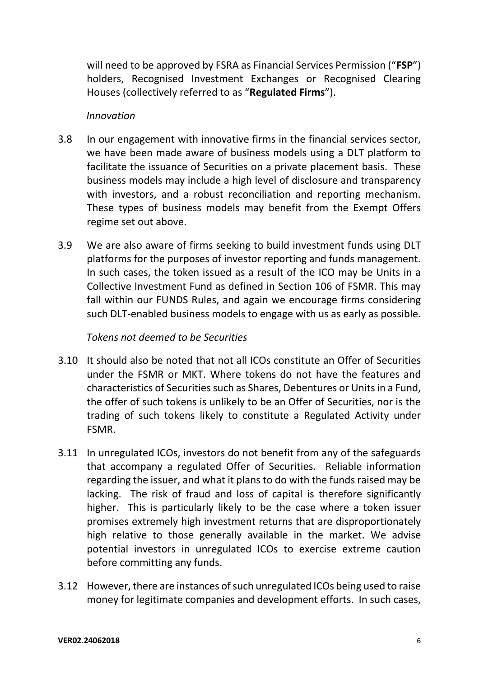will need to be approved by FSRA as Financial Services Permission ("**FSP**") holders, Recognised Investment Exchanges or Recognised Clearing Houses (collectively referred to as "**Regulated Firms**").

#### *Innovation*

- 3.8 In our engagement with innovative firms in the financial services sector, we have been made aware of business models using a DLT platform to facilitate the issuance of Securities on a private placement basis. These business models may include a high level of disclosure and transparency with investors, and a robust reconciliation and reporting mechanism. These types of business models may benefit from the Exempt Offers regime set out above.
- 3.9 We are also aware of firms seeking to build investment funds using DLT platforms for the purposes of investor reporting and funds management. In such cases, the token issued as a result of the ICO may be Units in a Collective Investment Fund as defined in Section 106 of FSMR. This may fall within our FUNDS Rules, and again we encourage firms considering such DLT-enabled business models to engage with us as early as possible.

#### *Tokens not deemed to be Securities*

- 3.10 It should also be noted that not all ICOs constitute an Offer of Securities under the FSMR or MKT. Where tokens do not have the features and characteristics of Securities such as Shares, Debentures or Units in a Fund, the offer of such tokens is unlikely to be an Offer of Securities, nor is the trading of such tokens likely to constitute a Regulated Activity under FSMR.
- 3.11 In unregulated ICOs, investors do not benefit from any of the safeguards that accompany a regulated Offer of Securities. Reliable information regarding the issuer, and what it plans to do with the funds raised may be lacking. The risk of fraud and loss of capital is therefore significantly higher. This is particularly likely to be the case where a token issuer promises extremely high investment returns that are disproportionately high relative to those generally available in the market. We advise potential investors in unregulated ICOs to exercise extreme caution before committing any funds.
- 3.12 However, there are instances of such unregulated ICOs being used to raise money for legitimate companies and development efforts. In such cases,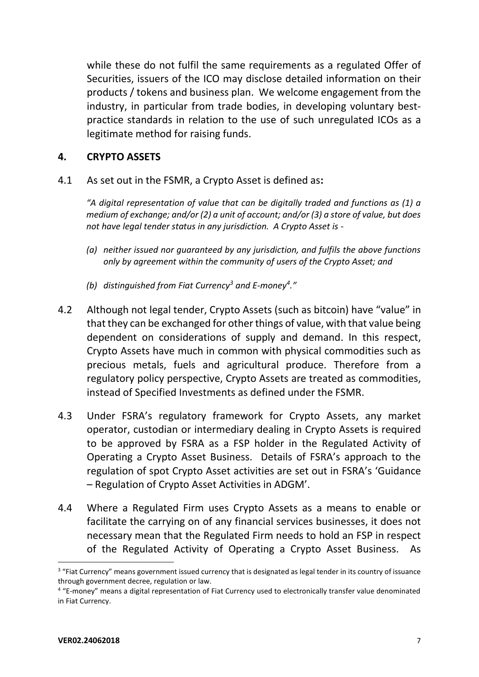while these do not fulfil the same requirements as a regulated Offer of Securities, issuers of the ICO may disclose detailed information on their products / tokens and business plan. We welcome engagement from the industry, in particular from trade bodies, in developing voluntary bestpractice standards in relation to the use of such unregulated ICOs as a legitimate method for raising funds.

## <span id="page-6-0"></span>**4. CRYPTO ASSETS**

4.1 As set out in the FSMR, a Crypto Asset is defined as**:**

*"A digital representation of value that can be digitally traded and functions as (1) a medium of exchange; and/or (2) a unit of account; and/or (3) a store of value, but does not have legal tender status in any jurisdiction. A Crypto Asset is -* 

- *(a) neither issued nor guaranteed by any jurisdiction, and fulfils the above functions only by agreement within the community of users of the Crypto Asset; and*
- *(b) distinguished from Fiat Currency<sup>3</sup> and E-money<sup>4</sup> ."*
- 4.2 Although not legal tender, Crypto Assets (such as bitcoin) have "value" in that they can be exchanged for other things of value, with that value being dependent on considerations of supply and demand. In this respect, Crypto Assets have much in common with physical commodities such as precious metals, fuels and agricultural produce. Therefore from a regulatory policy perspective, Crypto Assets are treated as commodities, instead of Specified Investments as defined under the FSMR.
- 4.3 Under FSRA's regulatory framework for Crypto Assets, any market operator, custodian or intermediary dealing in Crypto Assets is required to be approved by FSRA as a FSP holder in the Regulated Activity of Operating a Crypto Asset Business. Details of FSRA's approach to the regulation of spot Crypto Asset activities are set out in FSRA's 'Guidance – Regulation of Crypto Asset Activities in ADGM'.
- 4.4 Where a Regulated Firm uses Crypto Assets as a means to enable or facilitate the carrying on of any financial services businesses, it does not necessary mean that the Regulated Firm needs to hold an FSP in respect of the Regulated Activity of Operating a Crypto Asset Business. As

1

<sup>&</sup>lt;sup>3</sup> "Fiat Currency" means government issued currency that is designated as legal tender in its country of issuance through government decree, regulation or law.

<sup>4</sup> "E-money" means a digital representation of Fiat Currency used to electronically transfer value denominated in Fiat Currency.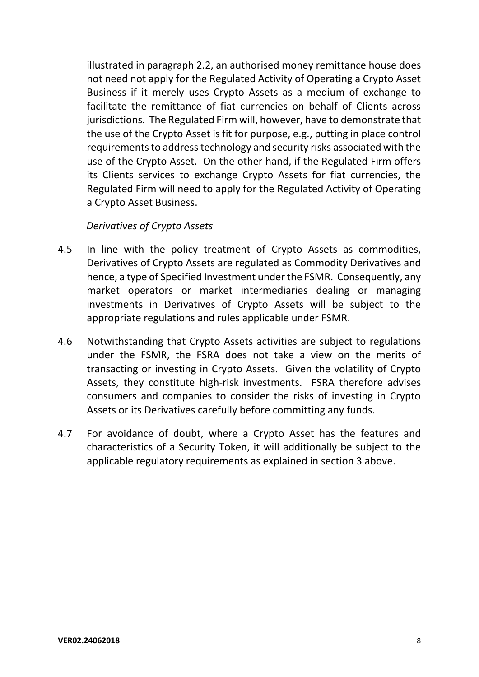illustrated in paragraph 2.2, an authorised money remittance house does not need not apply for the Regulated Activity of Operating a Crypto Asset Business if it merely uses Crypto Assets as a medium of exchange to facilitate the remittance of fiat currencies on behalf of Clients across jurisdictions. The Regulated Firm will, however, have to demonstrate that the use of the Crypto Asset is fit for purpose, e.g., putting in place control requirements to address technology and security risks associated with the use of the Crypto Asset. On the other hand, if the Regulated Firm offers its Clients services to exchange Crypto Assets for fiat currencies, the Regulated Firm will need to apply for the Regulated Activity of Operating a Crypto Asset Business.

#### *Derivatives of Crypto Assets*

- 4.5 In line with the policy treatment of Crypto Assets as commodities, Derivatives of Crypto Assets are regulated as Commodity Derivatives and hence, a type of Specified Investment under the FSMR. Consequently, any market operators or market intermediaries dealing or managing investments in Derivatives of Crypto Assets will be subject to the appropriate regulations and rules applicable under FSMR.
- 4.6 Notwithstanding that Crypto Assets activities are subject to regulations under the FSMR, the FSRA does not take a view on the merits of transacting or investing in Crypto Assets. Given the volatility of Crypto Assets, they constitute high-risk investments. FSRA therefore advises consumers and companies to consider the risks of investing in Crypto Assets or its Derivatives carefully before committing any funds.
- 4.7 For avoidance of doubt, where a Crypto Asset has the features and characteristics of a Security Token, it will additionally be subject to the applicable regulatory requirements as explained in section 3 above.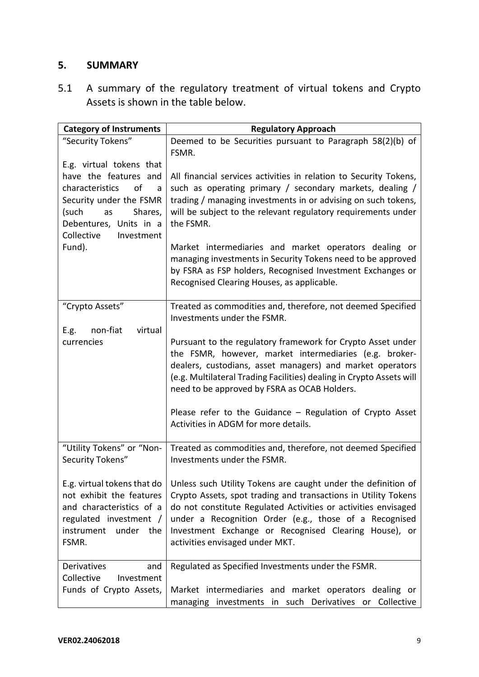## <span id="page-8-0"></span>**5. SUMMARY**

5.1 A summary of the regulatory treatment of virtual tokens and Crypto Assets is shown in the table below.

| <b>Category of Instruments</b>                                                                                                                                 | <b>Regulatory Approach</b>                                                                                                                                                                                                                                                                                                                              |
|----------------------------------------------------------------------------------------------------------------------------------------------------------------|---------------------------------------------------------------------------------------------------------------------------------------------------------------------------------------------------------------------------------------------------------------------------------------------------------------------------------------------------------|
| "Security Tokens"<br>E.g. virtual tokens that                                                                                                                  | Deemed to be Securities pursuant to Paragraph 58(2)(b) of<br>FSMR.                                                                                                                                                                                                                                                                                      |
| have the features and<br>characteristics<br>of<br>a<br>Security under the FSMR<br>(such<br>Shares,<br>as<br>Debentures, Units in a<br>Collective<br>Investment | All financial services activities in relation to Security Tokens,<br>such as operating primary / secondary markets, dealing /<br>trading / managing investments in or advising on such tokens,<br>will be subject to the relevant regulatory requirements under<br>the FSMR.                                                                            |
| Fund).                                                                                                                                                         | Market intermediaries and market operators dealing or<br>managing investments in Security Tokens need to be approved<br>by FSRA as FSP holders, Recognised Investment Exchanges or<br>Recognised Clearing Houses, as applicable.                                                                                                                        |
| "Crypto Assets"<br>virtual<br>E.g.<br>non-fiat                                                                                                                 | Treated as commodities and, therefore, not deemed Specified<br>Investments under the FSMR.                                                                                                                                                                                                                                                              |
| currencies                                                                                                                                                     | Pursuant to the regulatory framework for Crypto Asset under<br>the FSMR, however, market intermediaries (e.g. broker-<br>dealers, custodians, asset managers) and market operators<br>(e.g. Multilateral Trading Facilities) dealing in Crypto Assets will<br>need to be approved by FSRA as OCAB Holders.                                              |
|                                                                                                                                                                | Please refer to the Guidance - Regulation of Crypto Asset<br>Activities in ADGM for more details.                                                                                                                                                                                                                                                       |
| "Utility Tokens" or "Non-<br>Security Tokens"                                                                                                                  | Treated as commodities and, therefore, not deemed Specified<br>Investments under the FSMR.                                                                                                                                                                                                                                                              |
| E.g. virtual tokens that do<br>not exhibit the features<br>and characteristics of a<br>regulated investment /<br>instrument under the<br>FSMR.                 | Unless such Utility Tokens are caught under the definition of<br>Crypto Assets, spot trading and transactions in Utility Tokens<br>do not constitute Regulated Activities or activities envisaged<br>under a Recognition Order (e.g., those of a Recognised<br>Investment Exchange or Recognised Clearing House), or<br>activities envisaged under MKT. |
| Derivatives<br>and<br>Collective<br>Investment<br>Funds of Crypto Assets,                                                                                      | Regulated as Specified Investments under the FSMR.<br>Market intermediaries and market operators dealing or<br>managing investments in such Derivatives or Collective                                                                                                                                                                                   |